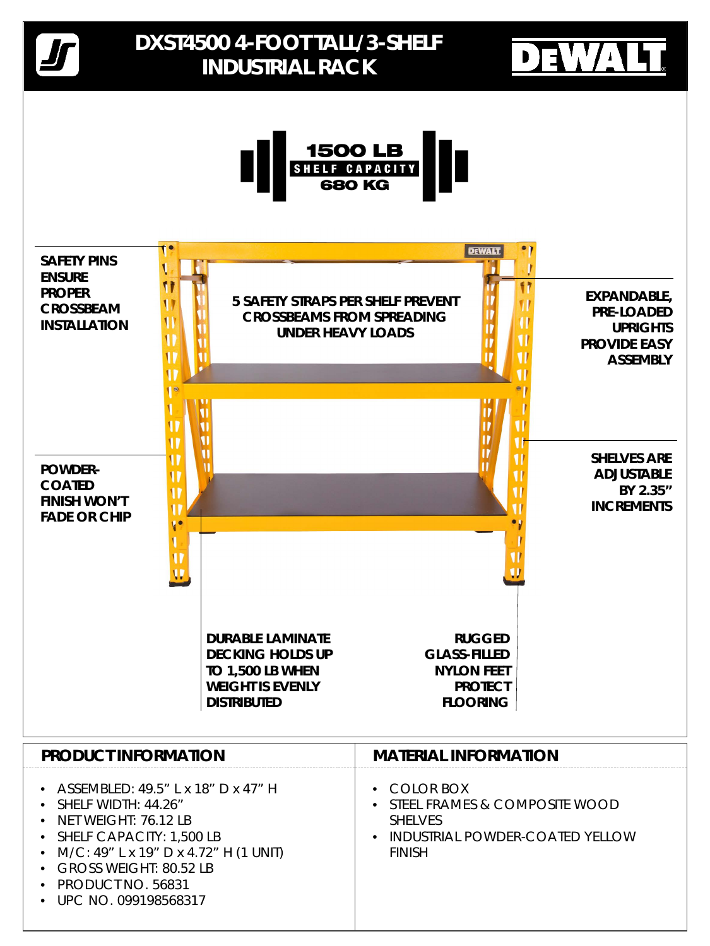## **PRODUCT INFORMATION**

- COLOR BOX
- STEEL FRAMES & COMPOSITE WOOD SHELVES
- INDUSTRIAL POWDER-COATED YELLOW FINISH

# **MATERIAL INFORMATION**



### **NYLON FEET PROTECT FLOORING**

### **TO 1,500 LB WHEN WEIGHT IS EVENLY DISTRIBUTED**

- ASSEMBLED: 49.5" L x 18" D x 47" H
- SHELF WIDTH: 44.26"
- NET WEIGHT: 76.12 LB
- SHELF CAPACITY: 1,500 LB
- M/C: 49" L x 19" D x 4.72" H (1 UNIT)
- GROSS WEIGHT: 80.52 LB
- PRODUCT NO. 56831
- UPC NO. 099198568317